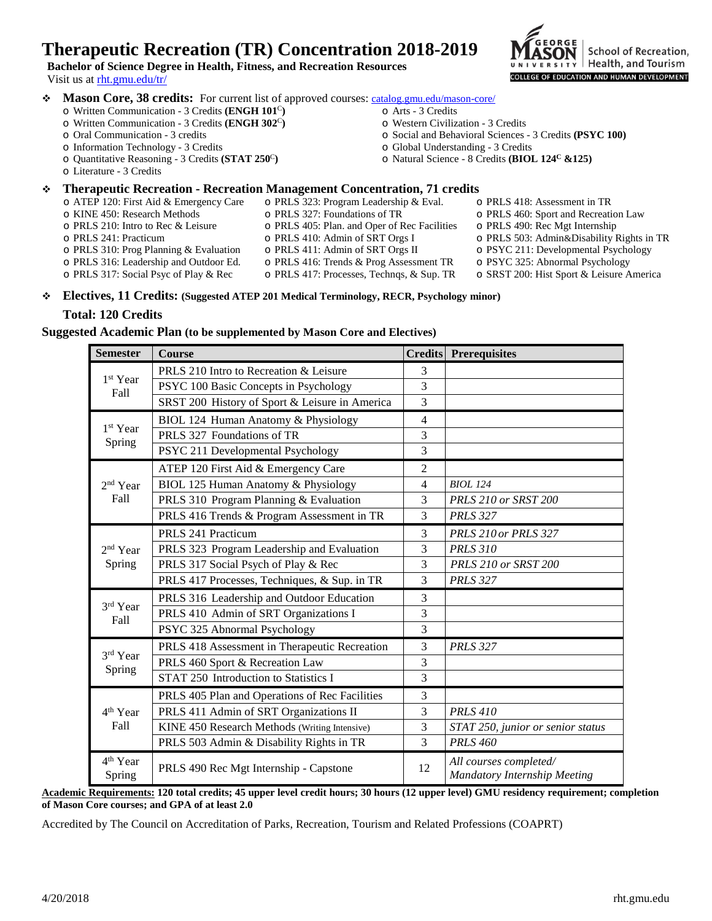# **Therapeutic Recreation (TR) Concentration 2018-2019**

**Bachelor of Science Degree in Health, Fitness, and Recreation Resources** Visit us a[t rht.gmu.edu/tr/](http://rht.gmu.edu/tr/)

- **Mason Core, 38 credits:** For current list of approved courses[: catalog.gmu.edu/mason-core/](http://catalog.gmu.edu/mason-core/)
	- o Written Communication 3 Credits **(ENGH 101**<sup>C</sup>**)**
	- o Written Communication 3 Credits **(ENGH 302**<sup>C</sup>**)**
	- o Oral Communication 3 credits
	- o Information Technology 3 Credits
	- o Quantitative Reasoning 3 Credits **(STAT 250**<sup>C</sup>**)**
	- o Literature 3 Credits

## **Therapeutic Recreation - Recreation Management Concentration, 71 credits**

- o ATEP 120: First Aid & Emergency Care o PRLS 323: Program Leadership & Eval.
	- o PRLS 327: Foundations of TR
- o KINE 450: Research Methods o PRLS 210: Intro to Rec & Leisure o PRLS 405: Plan. and Oper of Rec Facilities
- o PRLS 241: Practicum
- o PRLS 310: Prog Planning & Evaluation
- o PRLS 316: Leadership and Outdoor Ed. o PRLS 317: Social Psyc of Play & Rec
- o PRLS 410: Admin of SRT Orgs I o PRLS 411: Admin of SRT Orgs II
- 
- o PRLS 416: Trends & Prog Assessment TR
- o PRLS 417: Processes, Technqs, & Sup. TR

o Arts - 3 Credits

o Western Civilization - 3 Credits

o Global Understanding - 3 Credits

- 
- 
- 
- 
- 
- o SRST 200: Hist Sport & Leisure America

**Electives, 11 Credits: (Suggested ATEP 201 Medical Terminology, RECR, Psychology minor)**

#### **Total: 120 Credits**

### **Suggested Academic Plan (to be supplemented by Mason Core and Electives)**

| <b>Semester</b>                | <b>Course</b>                                  |                | <b>Credits</b> Prerequisites                                  |
|--------------------------------|------------------------------------------------|----------------|---------------------------------------------------------------|
| 1 <sup>st</sup> Year<br>Fall   | PRLS 210 Intro to Recreation & Leisure         | 3              |                                                               |
|                                | PSYC 100 Basic Concepts in Psychology          | 3              |                                                               |
|                                | SRST 200 History of Sport & Leisure in America | 3              |                                                               |
| 1 <sup>st</sup> Year<br>Spring | BIOL 124 Human Anatomy & Physiology            | 4              |                                                               |
|                                | PRLS 327 Foundations of TR                     | 3              |                                                               |
|                                | PSYC 211 Developmental Psychology              | 3              |                                                               |
| $2nd$ Year<br>Fall             | ATEP 120 First Aid & Emergency Care            | $\overline{2}$ |                                                               |
|                                | BIOL 125 Human Anatomy & Physiology            | $\overline{4}$ | <b>BIOL 124</b>                                               |
|                                | PRLS 310 Program Planning & Evaluation         | 3              | PRLS 210 or SRST 200                                          |
|                                | PRLS 416 Trends & Program Assessment in TR     | $\overline{3}$ | <b>PRLS 327</b>                                               |
| $2nd$ Year<br>Spring           | PRLS 241 Practicum                             | 3              | <b>PRLS 210 or PRLS 327</b>                                   |
|                                | PRLS 323 Program Leadership and Evaluation     | 3              | <b>PRLS 310</b>                                               |
|                                | PRLS 317 Social Psych of Play & Rec            | 3              | PRLS 210 or SRST 200                                          |
|                                | PRLS 417 Processes, Techniques, & Sup. in TR   | 3              | <b>PRLS 327</b>                                               |
| 3rd Year<br>Fall               | PRLS 316 Leadership and Outdoor Education      | 3              |                                                               |
|                                | PRLS 410 Admin of SRT Organizations I          | $\overline{3}$ |                                                               |
|                                | PSYC 325 Abnormal Psychology                   | 3              |                                                               |
| 3rd Year<br>Spring             | PRLS 418 Assessment in Therapeutic Recreation  | 3              | <b>PRLS 327</b>                                               |
|                                | PRLS 460 Sport & Recreation Law                | 3              |                                                               |
|                                | STAT 250 Introduction to Statistics I          | $\overline{3}$ |                                                               |
| $4th$ Year<br>Fall             | PRLS 405 Plan and Operations of Rec Facilities | 3              |                                                               |
|                                | PRLS 411 Admin of SRT Organizations II         | 3              | <b>PRLS 410</b>                                               |
|                                | KINE 450 Research Methods (Writing Intensive)  | 3              | STAT 250, junior or senior status                             |
|                                | PRLS 503 Admin & Disability Rights in TR       | $\overline{3}$ | <b>PRLS 460</b>                                               |
| 4 <sup>th</sup> Year<br>Spring | PRLS 490 Rec Mgt Internship - Capstone         | 12             | All courses completed/<br><b>Mandatory Internship Meeting</b> |

**Academic Requirements: 120 total credits; 45 upper level credit hours; 30 hours (12 upper level) GMU residency requirement; completion of Mason Core courses; and GPA of at least 2.0**

Accredited by The Council on Accreditation of Parks, Recreation, Tourism and Related Professions (COAPRT)

o Social and Behavioral Sciences - 3 Credits **(PSYC 100)**

o Natural Science - 8 Credits **(BIOL 124C &125)**

- o PRLS 418: Assessment in TR
	- o PRLS 460: Sport and Recreation Law
		- o PRLS 490: Rec Mgt Internship
		- o PRLS 503: Admin&Disability Rights in TR
		- o PSYC 211: Developmental Psychology
		- o PSYC 325: Abnormal Psychology
		-